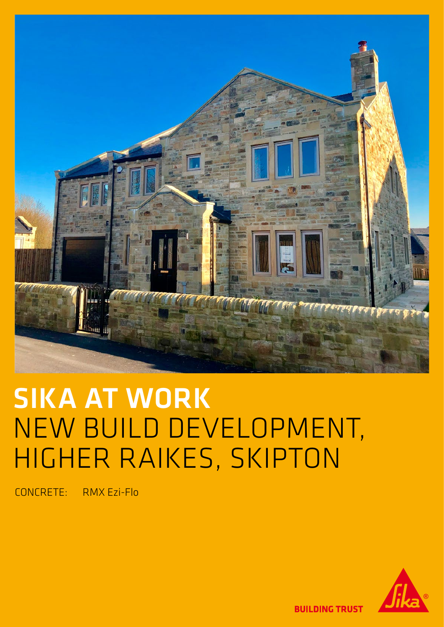

# **SIKA AT WORK** NEW BUILD DEVELOPMENT, HIGHER RAIKES, SKIPTON

CONCRETE: RMX Ezi-Flo



**BUILDING TRUST**